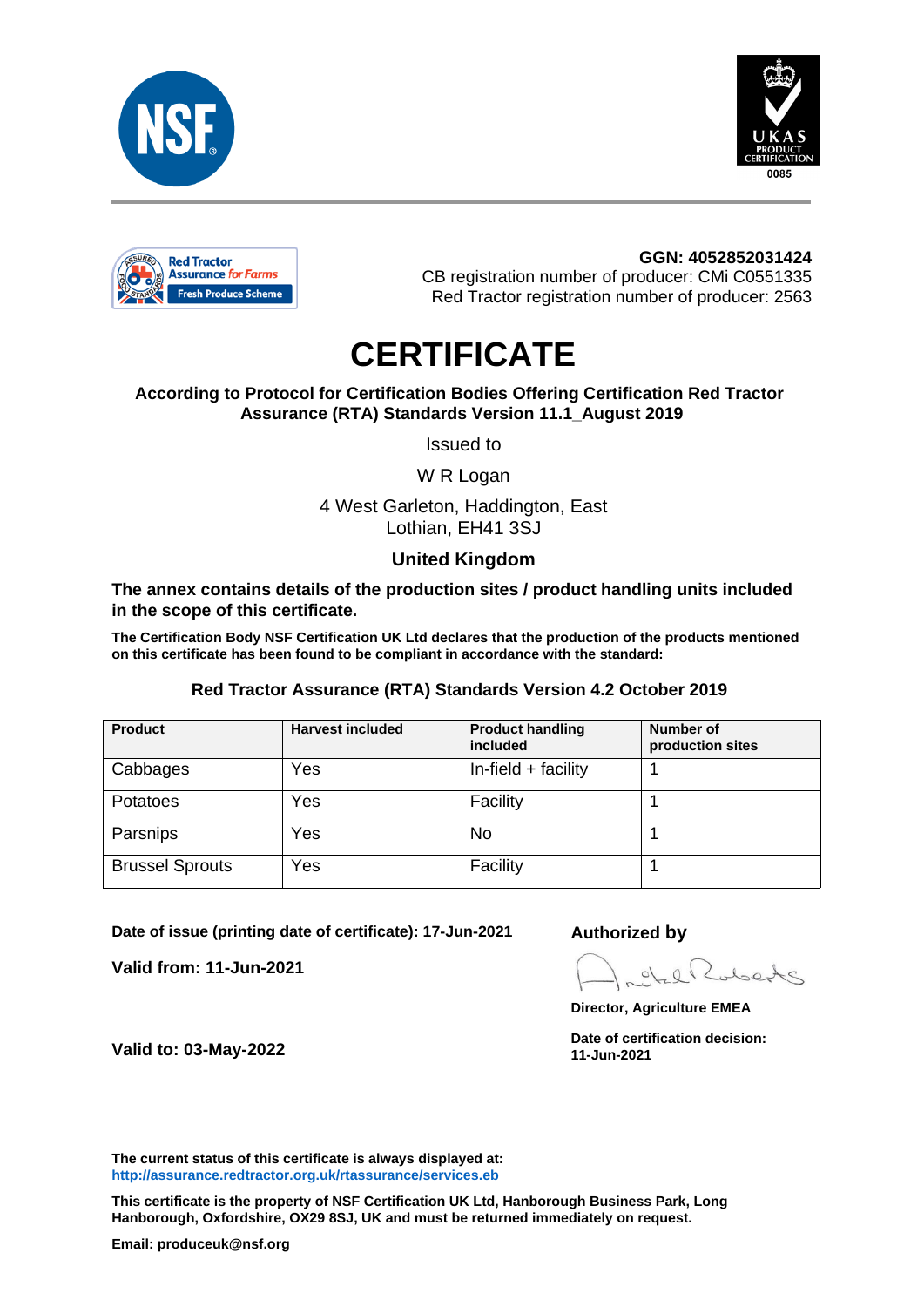





**GGN: 4052852031424** CB registration number of producer: CMi C0551335 Red Tractor registration number of producer: 2563

# **CERTIFICATE**

#### **According to Protocol for Certification Bodies Offering Certification Red Tractor Assurance (RTA) Standards Version 11.1\_August 2019**

Issued to

W R Logan

#### 4 West Garleton, Haddington, East Lothian, EH41 3SJ

### **United Kingdom**

**The annex contains details of the production sites / product handling units included in the scope of this certificate.**

**The Certification Body NSF Certification UK Ltd declares that the production of the products mentioned on this certificate has been found to be compliant in accordance with the standard:** 

#### **Red Tractor Assurance (RTA) Standards Version 4.2 October 2019**

| <b>Product</b>         | <b>Harvest included</b> | <b>Product handling</b><br>included | <b>Number of</b><br>production sites |
|------------------------|-------------------------|-------------------------------------|--------------------------------------|
| Cabbages               | Yes                     | In-field $+$ facility               |                                      |
| Potatoes               | Yes                     | Facility                            |                                      |
| Parsnips               | Yes                     | <b>No</b>                           |                                      |
| <b>Brussel Sprouts</b> | Yes                     | Facility                            |                                      |

**Date of issue (printing date of certificate): 17-Jun-2021 Authorized by**

**Valid from: 11-Jun-2021**

Hodr  $\circ$  $\Omega$ 

**Director, Agriculture EMEA**

**Valid to: 03-May-2022 Date of certification decision: 11-Jun-2021**

**The current status of this certificate is always displayed at: <http://assurance.redtractor.org.uk/rtassurance/services.eb>**

**This certificate is the property of NSF Certification UK Ltd, Hanborough Business Park, Long Hanborough, Oxfordshire, OX29 8SJ, UK and must be returned immediately on request.**